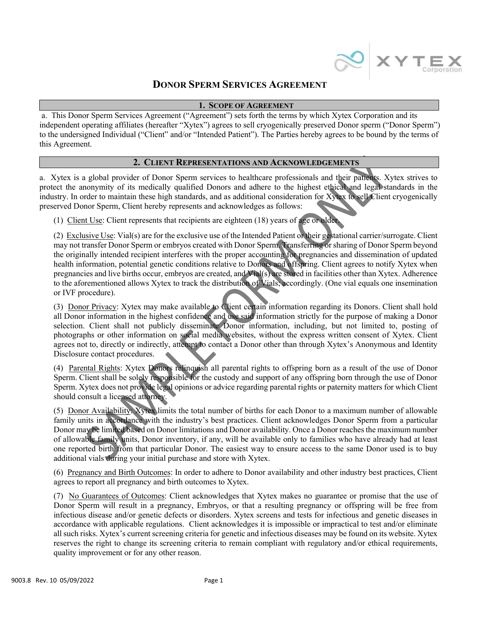# DONOR SPERM SERVICES AGREEMENT

### 1. SCOPE OF AGREEMENT

 a. This Donor Sperm Services Agreement ("Agreement") sets forth the terms by which Xytex Corporation and its independent operating affiliates (hereafter "Xytex") agrees to sell cryogenically preserved Donor sperm ("Donor Sperm") to the undersigned Individual ("Client" and/or "Intended Patient"). The Parties hereby agrees to be bound by the terms of this Agreement.

### 2. CLIENT REPRESENTATIONS AND ACKNOWLEDGEMENTS

a. Xytex is a global provider of Donor Sperm services to healthcare professionals and their patients. Xytex strives to protect the anonymity of its medically qualified Donors and adhere to the highest ethical and legal standards in the industry. In order to maintain these high standards, and as additional consideration for Xytex to sell Client cryogenically preserved Donor Sperm, Client hereby represents and acknowledges as follows:

(1) Client Use: Client represents that recipients are eighteen (18) years of age or older.

(2) Exclusive Use: Vial(s) are for the exclusive use of the Intended Patient or their gestational carrier/surrogate. Client may not transfer Donor Sperm or embryos created with Donor Sperm. Transferring or sharing of Donor Sperm beyond the originally intended recipient interferes with the proper accounting for pregnancies and dissemination of updated health information, potential genetic conditions relative to Donors and offspring. Client agrees to notify Xytex when pregnancies and live births occur, embryos are created, and Vial(s) are stored in facilities other than Xytex. Adherence to the aforementioned allows Xytex to track the distribution of Vials; accordingly. (One vial equals one insemination or IVF procedure).

(3) Donor Privacy: Xytex may make available to Client certain information regarding its Donors. Client shall hold all Donor information in the highest confidence and use said information strictly for the purpose of making a Donor selection. Client shall not publicly disseminate Donor information, including, but not limited to, posting of photographs or other information on social media websites, without the express written consent of Xytex. Client agrees not to, directly or indirectly, attempt to contact a Donor other than through Xytex's Anonymous and Identity Disclosure contact procedures.

(4) Parental Rights: Xytex Donors relinquish all parental rights to offspring born as a result of the use of Donor Sperm. Client shall be solely responsible for the custody and support of any offspring born through the use of Donor Sperm. Xytex does not provide legal opinions or advice regarding parental rights or paternity matters for which Client should consult a licensed attorney.

(5) Donor Availability: Xytex limits the total number of births for each Donor to a maximum number of allowable family units in accordance with the industry's best practices. Client acknowledges Donor Sperm from a particular Donor may be limited based on Donor limitations and Donor availability. Once a Donor reaches the maximum number of allowable family units, Donor inventory, if any, will be available only to families who have already had at least one reported birth from that particular Donor. The easiest way to ensure access to the same Donor used is to buy additional vials during your initial purchase and store with Xytex.

(6) Pregnancy and Birth Outcomes: In order to adhere to Donor availability and other industry best practices, Client agrees to report all pregnancy and birth outcomes to Xytex.

(7) No Guarantees of Outcomes: Client acknowledges that Xytex makes no guarantee or promise that the use of Donor Sperm will result in a pregnancy, Embryos, or that a resulting pregnancy or offspring will be free from infectious disease and/or genetic defects or disorders. Xytex screens and tests for infectious and genetic diseases in accordance with applicable regulations. Client acknowledges it is impossible or impractical to test and/or eliminate all such risks. Xytex's current screening criteria for genetic and infectious diseases may be found on its website. Xytex reserves the right to change its screening criteria to remain compliant with regulatory and/or ethical requirements, quality improvement or for any other reason.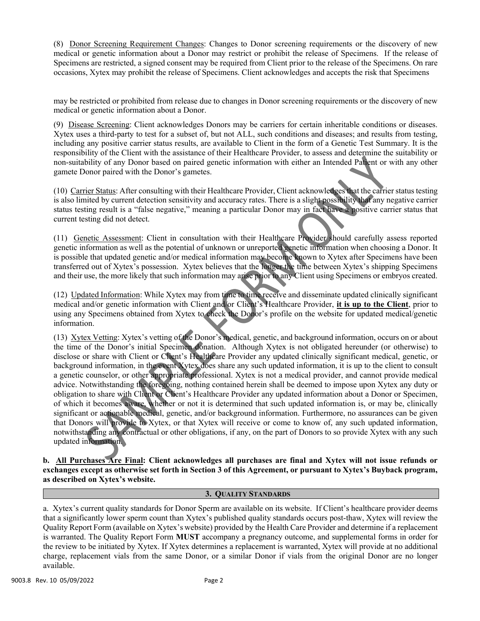(8) Donor Screening Requirement Changes: Changes to Donor screening requirements or the discovery of new medical or genetic information about a Donor may restrict or prohibit the release of Specimens. If the release of Specimens are restricted, a signed consent may be required from Client prior to the release of the Specimens. On rare occasions, Xytex may prohibit the release of Specimens. Client acknowledges and accepts the risk that Specimens

may be restricted or prohibited from release due to changes in Donor screening requirements or the discovery of new medical or genetic information about a Donor.

(9) Disease Screening: Client acknowledges Donors may be carriers for certain inheritable conditions or diseases. Xytex uses a third‐party to test for a subset of, but not ALL, such conditions and diseases; and results from testing, including any positive carrier status results, are available to Client in the form of a Genetic Test Summary. It is the responsibility of the Client with the assistance of their Healthcare Provider, to assess and determine the suitability or non‐suitability of any Donor based on paired genetic information with either an Intended Patient or with any other gamete Donor paired with the Donor's gametes.

(10) Carrier Status: After consulting with their Healthcare Provider, Client acknowledges that the carrier status testing is also limited by current detection sensitivity and accuracy rates. There is a slight possibility that any negative carrier status testing result is a "false negative," meaning a particular Donor may in fact have a positive carrier status that current testing did not detect.

(11) Genetic Assessment: Client in consultation with their Healthcare Provider should carefully assess reported genetic information as well as the potential of unknown or unreported genetic information when choosing a Donor. It is possible that updated genetic and/or medical information may become known to Xytex after Specimens have been transferred out of Xytex's possession. Xytex believes that the longer the time between Xytex's shipping Specimens and their use, the more likely that such information may arise prior to any Client using Specimens or embryos created.

(12) Updated Information: While Xytex may from time to time receive and disseminate updated clinically significant medical and/or genetic information with Client and/or Client's Healthcare Provider, it is up to the Client, prior to using any Specimens obtained from Xytex to check the Donor's profile on the website for updated medical/genetic information.

(13) Xytex Vetting: Xytex's vetting of the Donor's medical, genetic, and background information, occurs on or about the time of the Donor's initial Specimen donation. Although Xytex is not obligated hereunder (or otherwise) to disclose or share with Client or Client's Healthcare Provider any updated clinically significant medical, genetic, or background information, in the event Xytex does share any such updated information, it is up to the client to consult a genetic counselor, or other appropriate professional. Xytex is not a medical provider, and cannot provide medical advice. Notwithstanding the foregoing, nothing contained herein shall be deemed to impose upon Xytex any duty or obligation to share with Client or Client's Healthcare Provider any updated information about a Donor or Specimen, of which it becomes aware, whether or not it is determined that such updated information is, or may be, clinically significant or actionable medical, genetic, and/or background information. Furthermore, no assurances can be given that Donors will provide to Xytex, or that Xytex will receive or come to know of, any such updated information, notwithstanding any contractual or other obligations, if any, on the part of Donors to so provide Xytex with any such updated information.

b. All Purchases Are Final: Client acknowledges all purchases are final and Xytex will not issue refunds or exchanges except as otherwise set forth in Section 3 of this Agreement, or pursuant to Xytex's Buyback program, as described on Xytex's website.

#### 3. QUALITY STANDARDS

a. Xytex's current quality standards for Donor Sperm are available on its website. If Client's healthcare provider deems that a significantly lower sperm count than Xytex's published quality standards occurs post-thaw, Xytex will review the Quality Report Form (available on Xytex's website) provided by the Health Care Provider and determine if a replacement is warranted. The Quality Report Form MUST accompany a pregnancy outcome, and supplemental forms in order for the review to be initiated by Xytex. If Xytex determines a replacement is warranted, Xytex will provide at no additional charge, replacement vials from the same Donor, or a similar Donor if vials from the original Donor are no longer available.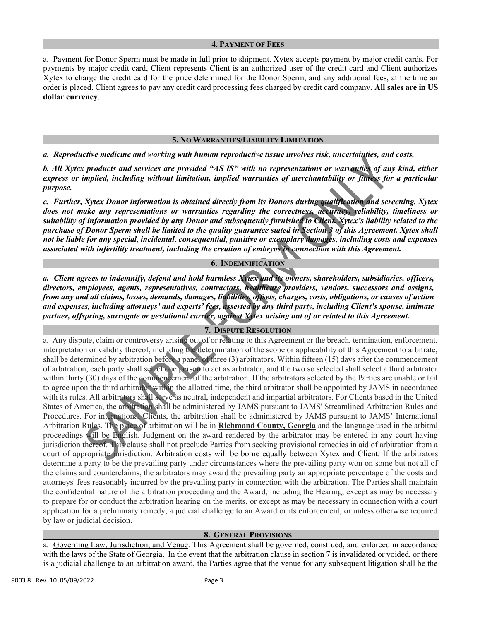#### 4. PAYMENT OF FEES

a. Payment for Donor Sperm must be made in full prior to shipment. Xytex accepts payment by major credit cards. For payments by major credit card, Client represents Client is an authorized user of the credit card and Client authorizes Xytex to charge the credit card for the price determined for the Donor Sperm, and any additional fees, at the time an order is placed. Client agrees to pay any credit card processing fees charged by credit card company. All sales are in US dollar currency.

### 5. NO WARRANTIES/LIABILITY LIMITATION

a. Reproductive medicine and working with human reproductive tissue involves risk, uncertainties, and costs.

b. All Xytex products and services are provided "AS IS" with no representations or warranties of any kind, either express or implied, including without limitation, implied warranties of merchantability or fitness for a particular purpose.

c. Further, Xytex Donor information is obtained directly from its Donors during qualification and screening. Xytex does not make any representations or warranties regarding the correctness, accuracy, reliability, timeliness or suitability of information provided by any Donor and subsequently furnished to Client. Xytex's liability related to the purchase of Donor Sperm shall be limited to the quality guarantee stated in Section 3 of this Agreement. Xytex shall not be liable for any special, incidental, consequential, punitive or exemplary damages, including costs and expenses associated with infertility treatment, including the creation of embryos in connection with this Agreement.

### 6. INDEMNIFICATION

a. Client agrees to indemnify, defend and hold harmless  $X$ ytex and its owners, shareholders, subsidiaries, officers, directors, employees, agents, representatives, contractors, healtheare providers, vendors, successors and assigns, from any and all claims, losses, demands, damages, liabilities, offsets, charges, costs, obligations, or causes of action and expenses, including attorneys' and experts' fees, asserted by any third party, including Client's spouse, intimate partner, offspring, surrogate or gestational carrier, against Xytex arising out of or related to this Agreement.

### 7. DISPUTE RESOLUTION

a. Any dispute, claim or controversy arising out of or relating to this Agreement or the breach, termination, enforcement, interpretation or validity thereof, including the determination of the scope or applicability of this Agreement to arbitrate, shall be determined by arbitration before a panel of three (3) arbitrators. Within fifteen (15) days after the commencement of arbitration, each party shall select one person to act as arbitrator, and the two so selected shall select a third arbitrator within thirty (30) days of the commencement of the arbitration. If the arbitrators selected by the Parties are unable or fail to agree upon the third arbitrator within the allotted time, the third arbitrator shall be appointed by JAMS in accordance with its rules. All arbitrators shall serve as neutral, independent and impartial arbitrators. For Clients based in the United States of America, the arbitration shall be administered by JAMS pursuant to JAMS' Streamlined Arbitration Rules and Procedures. For international Clients, the arbitration shall be administered by JAMS pursuant to JAMS' International Arbitration Rules. The place of arbitration will be in Richmond County, Georgia and the language used in the arbitral proceedings will be English. Judgment on the award rendered by the arbitrator may be entered in any court having jurisdiction thereof. This clause shall not preclude Parties from seeking provisional remedies in aid of arbitration from a court of appropriate jurisdiction. Arbitration costs will be borne equally between Xytex and Client. If the arbitrators determine a party to be the prevailing party under circumstances where the prevailing party won on some but not all of the claims and counterclaims, the arbitrators may award the prevailing party an appropriate percentage of the costs and attorneys' fees reasonably incurred by the prevailing party in connection with the arbitration. The Parties shall maintain the confidential nature of the arbitration proceeding and the Award, including the Hearing, except as may be necessary to prepare for or conduct the arbitration hearing on the merits, or except as may be necessary in connection with a court application for a preliminary remedy, a judicial challenge to an Award or its enforcement, or unless otherwise required by law or judicial decision.

#### 8. GENERAL PROVISIONS

a. Governing Law, Jurisdiction, and Venue: This Agreement shall be governed, construed, and enforced in accordance with the laws of the State of Georgia. In the event that the arbitration clause in section 7 is invalidated or voided, or there is a judicial challenge to an arbitration award, the Parties agree that the venue for any subsequent litigation shall be the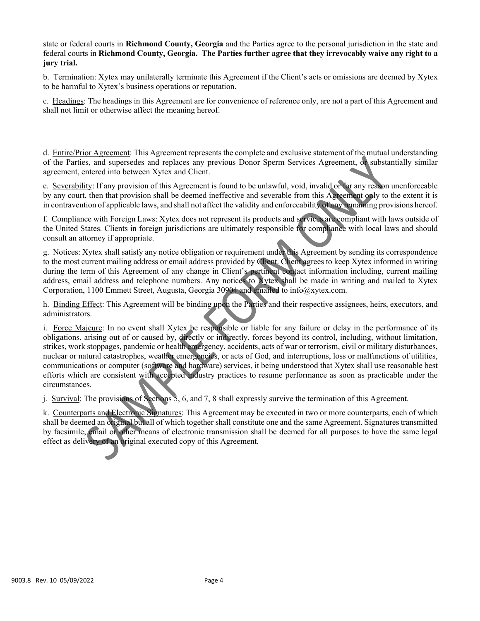state or federal courts in **Richmond County, Georgia** and the Parties agree to the personal jurisdiction in the state and federal courts in Richmond County, Georgia. The Parties further agree that they irrevocably waive any right to a jury trial.

b. Termination: Xytex may unilaterally terminate this Agreement if the Client's acts or omissions are deemed by Xytex to be harmful to Xytex's business operations or reputation.

c. Headings: The headings in this Agreement are for convenience of reference only, are not a part of this Agreement and shall not limit or otherwise affect the meaning hereof.

d. Entire/Prior Agreement: This Agreement represents the complete and exclusive statement of the mutual understanding of the Parties, and supersedes and replaces any previous Donor Sperm Services Agreement, or substantially similar agreement, entered into between Xytex and Client.

e. Severability: If any provision of this Agreement is found to be unlawful, void, invalid or for any reason unenforceable by any court, then that provision shall be deemed ineffective and severable from this Agreement only to the extent it is in contravention of applicable laws, and shall not affect the validity and enforceability of any remaining provisions hereof.

f. Compliance with Foreign Laws: Xytex does not represent its products and services are compliant with laws outside of the United States. Clients in foreign jurisdictions are ultimately responsible for compliance with local laws and should consult an attorney if appropriate.

g. Notices: Xytex shall satisfy any notice obligation or requirement under this Agreement by sending its correspondence to the most current mailing address or email address provided by Client. Client agrees to keep Xytex informed in writing during the term of this Agreement of any change in Client's pertinent contact information including, current mailing address, email address and telephone numbers. Any notices to Xytex shall be made in writing and mailed to Xytex Corporation, 1100 Emmett Street, Augusta, Georgia 30904 and emailed to info@xytex.com.

h. Binding Effect: This Agreement will be binding upon the Parties and their respective assignees, heirs, executors, and administrators.

i. Force Majeure: In no event shall Xytex be responsible or liable for any failure or delay in the performance of its obligations, arising out of or caused by, directly or indirectly, forces beyond its control, including, without limitation, strikes, work stoppages, pandemic or health emergency, accidents, acts of war or terrorism, civil or military disturbances, nuclear or natural catastrophes, weather emergencies, or acts of God, and interruptions, loss or malfunctions of utilities, communications or computer (software and hardware) services, it being understood that Xytex shall use reasonable best efforts which are consistent with accepted industry practices to resume performance as soon as practicable under the circumstances.

j. Survival: The provisions of Sections 5, 6, and 7, 8 shall expressly survive the termination of this Agreement.

k. Counterparts and Electronic Signatures: This Agreement may be executed in two or more counterparts, each of which shall be deemed an original but all of which together shall constitute one and the same Agreement. Signatures transmitted by facsimile, email or other means of electronic transmission shall be deemed for all purposes to have the same legal effect as delivery of an original executed copy of this Agreement.